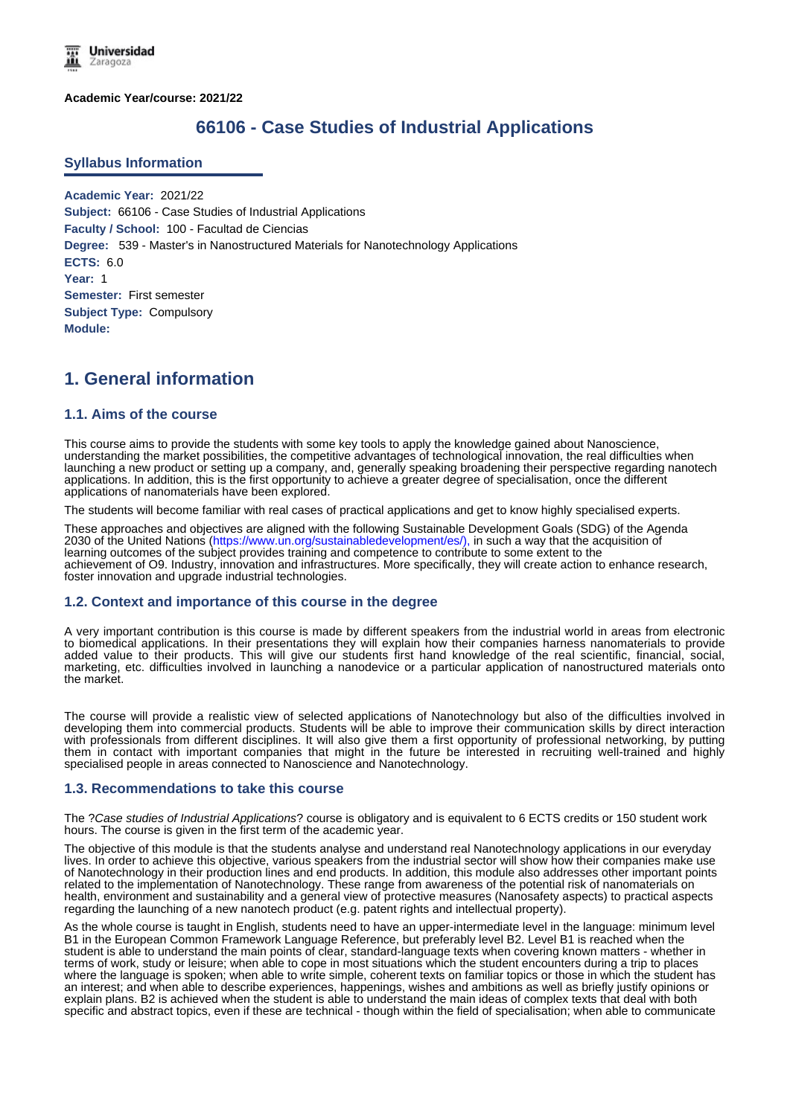**Academic Year/course: 2021/22**

# **66106 - Case Studies of Industrial Applications**

#### **Syllabus Information**

**Academic Year:** 2021/22 **Subject:** 66106 - Case Studies of Industrial Applications **Faculty / School:** 100 - Facultad de Ciencias **Degree:** 539 - Master's in Nanostructured Materials for Nanotechnology Applications **ECTS:** 6.0 **Year:** 1 **Semester:** First semester **Subject Type:** Compulsory **Module:**

# **1. General information**

## **1.1. Aims of the course**

This course aims to provide the students with some key tools to apply the knowledge gained about Nanoscience, understanding the market possibilities, the competitive advantages of technological innovation, the real difficulties when launching a new product or setting up a company, and, generally speaking broadening their perspective regarding nanotech applications. In addition, this is the first opportunity to achieve a greater degree of specialisation, once the different applications of nanomaterials have been explored.

The students will become familiar with real cases of practical applications and get to know highly specialised experts.

These approaches and objectives are aligned with the following Sustainable Development Goals (SDG) of the Agenda 2030 of the United Nations (https://www.un.org/sustainabledevelopment/es/), in such a way that the acquisition of learning outcomes of the subject provides training and competence to contribute to some extent to the achievement of O9. Industry, innovation and infrastructures. More specifically, they will create action to enhance research, foster innovation and upgrade industrial technologies.

#### **1.2. Context and importance of this course in the degree**

A very important contribution is this course is made by different speakers from the industrial world in areas from electronic to biomedical applications. In their presentations they will explain how their companies harness nanomaterials to provide added value to their products. This will give our students first hand knowledge of the real scientific, financial, social, marketing, etc. difficulties involved in launching a nanodevice or a particular application of nanostructured materials onto the market.

The course will provide a realistic view of selected applications of Nanotechnology but also of the difficulties involved in developing them into commercial products. Students will be able to improve their communication skills by direct interaction with professionals from different disciplines. It will also give them a first opportunity of professional networking, by putting them in contact with important companies that might in the future be interested in recruiting well-trained and highly specialised people in areas connected to Nanoscience and Nanotechnology.

#### **1.3. Recommendations to take this course**

The ?*Case studies of Industrial Applications*? course is obligatory and is equivalent to 6 ECTS credits or 150 student work hours. The course is given in the first term of the academic year.

The objective of this module is that the students analyse and understand real Nanotechnology applications in our everyday lives. In order to achieve this objective, various speakers from the industrial sector will show how their companies make use of Nanotechnology in their production lines and end products. In addition, this module also addresses other important points related to the implementation of Nanotechnology. These range from awareness of the potential risk of nanomaterials on health, environment and sustainability and a general view of protective measures (Nanosafety aspects) to practical aspects regarding the launching of a new nanotech product (e.g. patent rights and intellectual property).

As the whole course is taught in English, students need to have an upper-intermediate level in the language: minimum level B1 in the European Common Framework Language Reference, but preferably level B2. Level B1 is reached when the student is able to understand the main points of clear, standard-language texts when covering known matters - whether in terms of work, study or leisure; when able to cope in most situations which the student encounters during a trip to places where the language is spoken; when able to write simple, coherent texts on familiar topics or those in which the student has an interest; and when able to describe experiences, happenings, wishes and ambitions as well as briefly justify opinions or explain plans. B2 is achieved when the student is able to understand the main ideas of complex texts that deal with both specific and abstract topics, even if these are technical - though within the field of specialisation; when able to communicate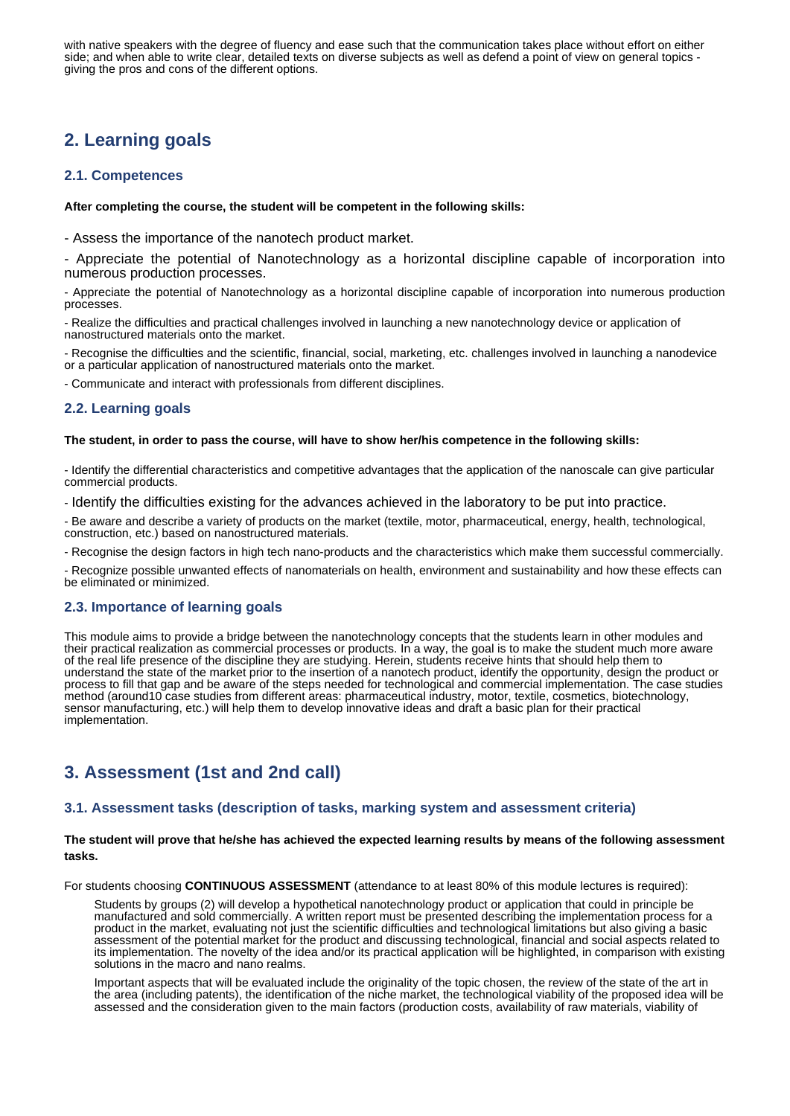with native speakers with the degree of fluency and ease such that the communication takes place without effort on either side; and when able to write clear, detailed texts on diverse subjects as well as defend a point of view on general topics giving the pros and cons of the different options.

# **2. Learning goals**

### **2.1. Competences**

#### **After completing the course, the student will be competent in the following skills:**

- Assess the importance of the nanotech product market.

- Appreciate the potential of Nanotechnology as a horizontal discipline capable of incorporation into numerous production processes.

- Appreciate the potential of Nanotechnology as a horizontal discipline capable of incorporation into numerous production processes.

- Realize the difficulties and practical challenges involved in launching a new nanotechnology device or application of nanostructured materials onto the market.

- Recognise the difficulties and the scientific, financial, social, marketing, etc. challenges involved in launching a nanodevice or a particular application of nanostructured materials onto the market.

- Communicate and interact with professionals from different disciplines.

## **2.2. Learning goals**

#### **The student, in order to pass the course, will have to show her/his competence in the following skills:**

- Identify the differential characteristics and competitive advantages that the application of the nanoscale can give particular commercial products.

- Identify the difficulties existing for the advances achieved in the laboratory to be put into practice.

- Be aware and describe a variety of products on the market (textile, motor, pharmaceutical, energy, health, technological, construction, etc.) based on nanostructured materials.

- Recognise the design factors in high tech nano-products and the characteristics which make them successful commercially.

- Recognize possible unwanted effects of nanomaterials on health, environment and sustainability and how these effects can be eliminated or minimized.

### **2.3. Importance of learning goals**

This module aims to provide a bridge between the nanotechnology concepts that the students learn in other modules and their practical realization as commercial processes or products. In a way, the goal is to make the student much more aware of the real life presence of the discipline they are studying. Herein, students receive hints that should help them to understand the state of the market prior to the insertion of a nanotech product, identify the opportunity, design the product or process to fill that gap and be aware of the steps needed for technological and commercial implementation. The case studies method (around10 case studies from different areas: pharmaceutical industry, motor, textile, cosmetics, biotechnology, sensor manufacturing, etc.) will help them to develop innovative ideas and draft a basic plan for their practical implementation.

# **3. Assessment (1st and 2nd call)**

### **3.1. Assessment tasks (description of tasks, marking system and assessment criteria)**

#### **The student will prove that he/she has achieved the expected learning results by means of the following assessment tasks.**

For students choosing **CONTINUOUS ASSESSMENT** (attendance to at least 80% of this module lectures is required):

Students by groups (2) will develop a hypothetical nanotechnology product or application that could in principle be manufactured and sold commercially. A written report must be presented describing the implementation process for a product in the market, evaluating not just the scientific difficulties and technological limitations but also giving a basic assessment of the potential market for the product and discussing technological, financial and social aspects related to its implementation. The novelty of the idea and/or its practical application will be highlighted, in comparison with existing solutions in the macro and nano realms.

Important aspects that will be evaluated include the originality of the topic chosen, the review of the state of the art in the area (including patents), the identification of the niche market, the technological viability of the proposed idea will be assessed and the consideration given to the main factors (production costs, availability of raw materials, viability of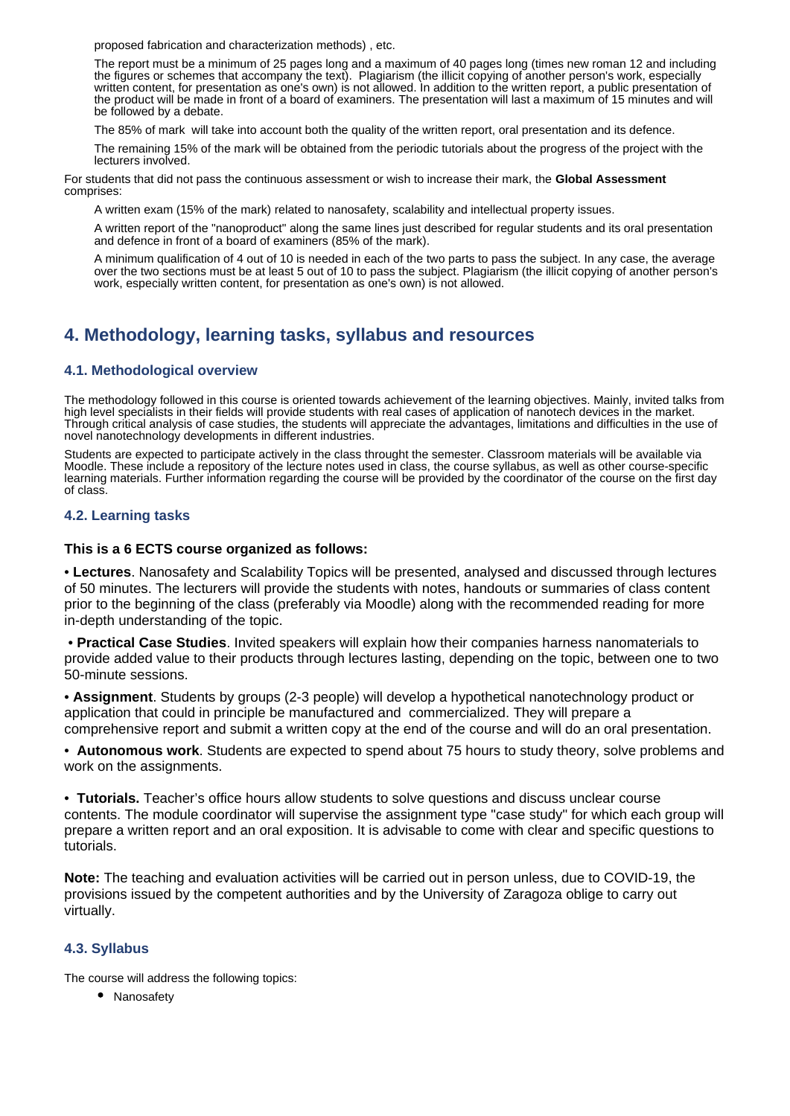proposed fabrication and characterization methods) , etc.

The report must be a minimum of 25 pages long and a maximum of 40 pages long (times new roman 12 and including the figures or schemes that accompany the text). Plagiarism (the illicit copying of another person's work, especially written content, for presentation as one's own) is not allowed. In addition to the written report, a public presentation of the product will be made in front of a board of examiners. The presentation will last a maximum of 15 minutes and will be followed by a debate.

The 85% of mark will take into account both the quality of the written report, oral presentation and its defence.

The remaining 15% of the mark will be obtained from the periodic tutorials about the progress of the project with the lecturers involved.

For students that did not pass the continuous assessment or wish to increase their mark, the **Global Assessment** comprises:

A written exam (15% of the mark) related to nanosafety, scalability and intellectual property issues.

A written report of the "nanoproduct" along the same lines just described for regular students and its oral presentation and defence in front of a board of examiners (85% of the mark).

A minimum qualification of 4 out of 10 is needed in each of the two parts to pass the subject. In any case, the average over the two sections must be at least 5 out of 10 to pass the subject. Plagiarism (the illicit copying of another person's work, especially written content, for presentation as one's own) is not allowed.

# **4. Methodology, learning tasks, syllabus and resources**

## **4.1. Methodological overview**

The methodology followed in this course is oriented towards achievement of the learning objectives. Mainly, invited talks from high level specialists in their fields will provide students with real cases of application of nanotech devices in the market. Through critical analysis of case studies, the students will appreciate the advantages, limitations and difficulties in the use of novel nanotechnology developments in different industries.

Students are expected to participate actively in the class throught the semester. Classroom materials will be available via Moodle. These include a repository of the lecture notes used in class, the course syllabus, as well as other course-specific learning materials. Further information regarding the course will be provided by the coordinator of the course on the first day of class.

### **4.2. Learning tasks**

### **This is a 6 ECTS course organized as follows:**

• **Lectures**. Nanosafety and Scalability Topics will be presented, analysed and discussed through lectures of 50 minutes. The lecturers will provide the students with notes, handouts or summaries of class content prior to the beginning of the class (preferably via Moodle) along with the recommended reading for more in-depth understanding of the topic.

• **Practical Case Studies**. Invited speakers will explain how their companies harness nanomaterials to provide added value to their products through lectures lasting, depending on the topic, between one to two 50-minute sessions.

• **Assignment**. Students by groups (2-3 people) will develop a hypothetical nanotechnology product or application that could in principle be manufactured and commercialized. They will prepare a comprehensive report and submit a written copy at the end of the course and will do an oral presentation.

• **Autonomous work**. Students are expected to spend about 75 hours to study theory, solve problems and work on the assignments.

• **Tutorials.** Teacher's office hours allow students to solve questions and discuss unclear course contents. The module coordinator will supervise the assignment type "case study" for which each group will prepare a written report and an oral exposition. It is advisable to come with clear and specific questions to tutorials.

**Note:** The teaching and evaluation activities will be carried out in person unless, due to COVID-19, the provisions issued by the competent authorities and by the University of Zaragoza oblige to carry out virtually.

# **4.3. Syllabus**

The course will address the following topics:

• Nanosafety